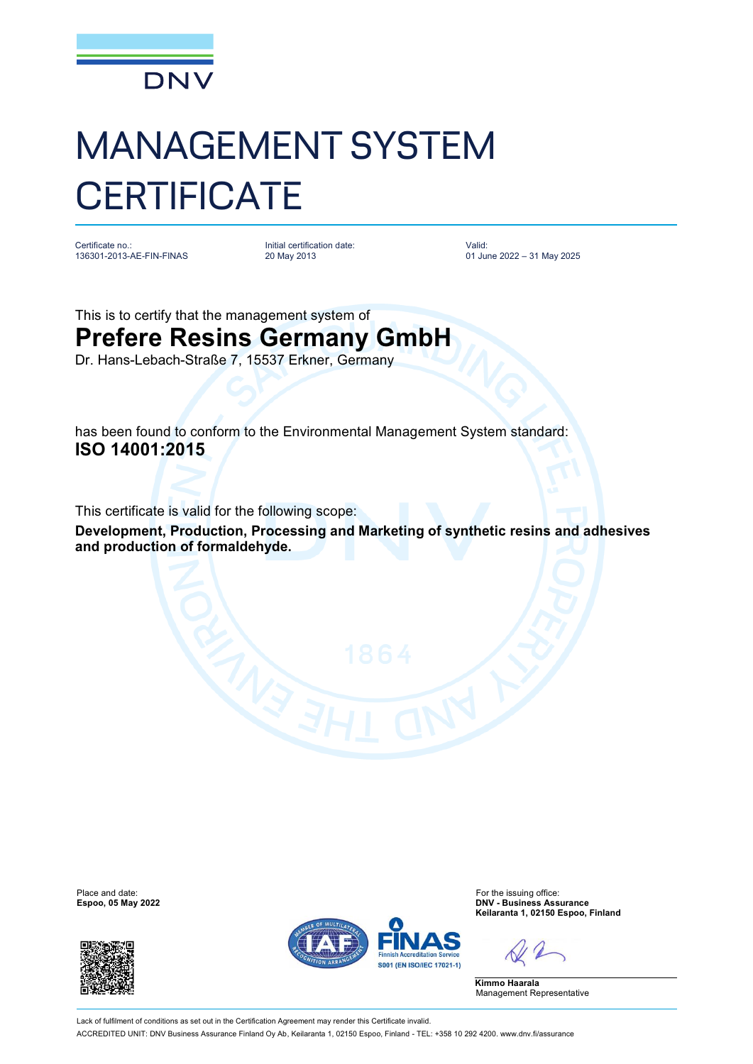

## MANAGEMENT SYSTEM **CERTIFICATE**

Certificate no.: 136301-2013-AE-FIN-FINAS Initial certification date: 20 May 2013

Valid: 01 June 2022 – 31 May 2025

This is to certify that the management system of **Prefere Resins Germany GmbH** Dr. Hans-Lebach-Straße 7, 15537 Erkner, Germany

has been found to conform to the Environmental Management System standard: **ISO 14001:2015**

This certificate is valid for the following scope:

**Development, Production, Processing and Marketing of synthetic resins and adhesives and production of formaldehyde.** 





Place and date: For the issuing office:<br>
For the issuing office:<br> **Espoo, 05 May 2022**<br> **Espoo, 05 May 2022 Espoo, 05 May 2022 DNV - Business Assurance Keilaranta 1, 02150 Espoo, Finland**

**Kimmo Haarala** Management Representative

Lack of fulfilment of conditions as set out in the Certification Agreement may render this Certificate invalid. ACCREDITED UNIT: DNV Business Assurance Finland Oy Ab, Keilaranta 1, 02150 Espoo, Finland - TEL: +358 10 292 4200. [www.dnv.fi/assurance](http://www.dnv.fi/assurance)